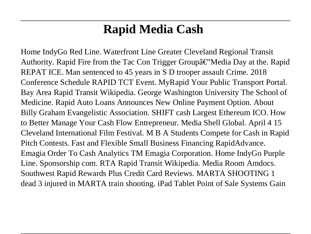# **Rapid Media Cash**

Home IndyGo Red Line. Waterfront Line Greater Cleveland Regional Transit Authority. Rapid Fire from the Tac Con Trigger Groupa $\epsilon$ "Media Day at the. Rapid REPAT ICE. Man sentenced to 45 years in S D trooper assault Crime. 2018 Conference Schedule RAPID TCT Event. MyRapid Your Public Transport Portal. Bay Area Rapid Transit Wikipedia. George Washington University The School of Medicine. Rapid Auto Loans Announces New Online Payment Option. About Billy Graham Evangelistic Association. SHIFT cash Largest Ethereum ICO. How to Better Manage Your Cash Flow Entrepreneur. Media Shell Global. April 4 15 Cleveland International Film Festival. M B A Students Compete for Cash in Rapid Pitch Contests. Fast and Flexible Small Business Financing RapidAdvance. Emagia Order To Cash Analytics TM Emagia Corporation. Home IndyGo Purple Line. Sponsorship com. RTA Rapid Transit Wikipedia. Media Room Amdocs. Southwest Rapid Rewards Plus Credit Card Reviews. MARTA SHOOTING 1 dead 3 injured in MARTA train shooting. iPad Tablet Point of Sale Systems Gain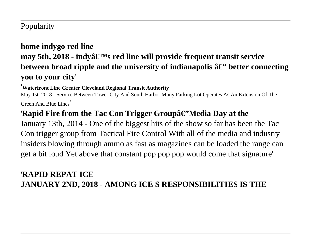#### Popularity

#### **home indygo red line** may 5th, 2018 - indyâ€<sup>™</sup>s red line will provide frequent transit service **between broad ripple and the university of indianapolis**  $\hat{a} \in \mathcal{C}$  **better connecting you to your city**'

#### '**Waterfront Line Greater Cleveland Regional Transit Authority**

May 1st, 2018 - Service Between Tower City And South Harbor Muny Parking Lot Operates As An Extension Of The Green And Blue Lines'

#### '**Rapid Fire from the Tac Con Trigger Groupâ€''Media Day at the**

January 13th, 2014 - One of the biggest hits of the show so far has been the Tac Con trigger group from Tactical Fire Control With all of the media and industry insiders blowing through ammo as fast as magazines can be loaded the range can get a bit loud Yet above that constant pop pop pop would come that signature'

#### '**RAPID REPAT ICE JANUARY 2ND, 2018 - AMONG ICE S RESPONSIBILITIES IS THE**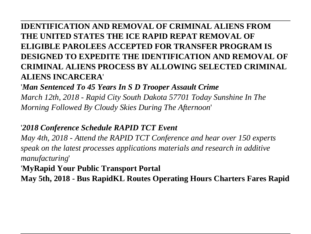## **IDENTIFICATION AND REMOVAL OF CRIMINAL ALIENS FROM THE UNITED STATES THE ICE RAPID REPAT REMOVAL OF ELIGIBLE PAROLEES ACCEPTED FOR TRANSFER PROGRAM IS DESIGNED TO EXPEDITE THE IDENTIFICATION AND REMOVAL OF CRIMINAL ALIENS PROCESS BY ALLOWING SELECTED CRIMINAL ALIENS INCARCERA**'

'*Man Sentenced To 45 Years In S D Trooper Assault Crime March 12th, 2018 - Rapid City South Dakota 57701 Today Sunshine In The Morning Followed By Cloudy Skies During The Afternoon*'

#### '*2018 Conference Schedule RAPID TCT Event*

*May 4th, 2018 - Attend the RAPID TCT Conference and hear over 150 experts speak on the latest processes applications materials and research in additive manufacturing*'

#### '**MyRapid Your Public Transport Portal**

**May 5th, 2018 - Bus RapidKL Routes Operating Hours Charters Fares Rapid**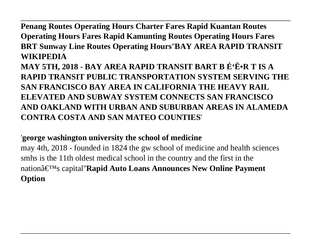**Penang Routes Operating Hours Charter Fares Rapid Kuantan Routes Operating Hours Fares Rapid Kamunting Routes Operating Hours Fares BRT Sunway Line Routes Operating Hours**''**BAY AREA RAPID TRANSIT WIKIPEDIA**

**MAY 5TH, 2018 - BAY AREA RAPID TRANSIT BART B É'Ë•R T IS A RAPID TRANSIT PUBLIC TRANSPORTATION SYSTEM SERVING THE SAN FRANCISCO BAY AREA IN CALIFORNIA THE HEAVY RAIL ELEVATED AND SUBWAY SYSTEM CONNECTS SAN FRANCISCO AND OAKLAND WITH URBAN AND SUBURBAN AREAS IN ALAMEDA CONTRA COSTA AND SAN MATEO COUNTIES**'

#### '**george washington university the school of medicine**

may 4th, 2018 - founded in 1824 the gw school of medicine and health sciences smhs is the 11th oldest medical school in the country and the first in the nationâ€<sup>™</sup>s capital'**Rapid Auto Loans Announces New Online Payment Option**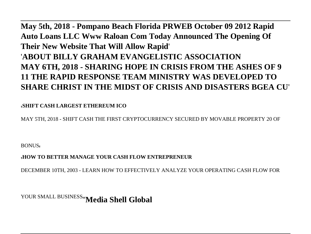**May 5th, 2018 - Pompano Beach Florida PRWEB October 09 2012 Rapid Auto Loans LLC Www Raloan Com Today Announced The Opening Of Their New Website That Will Allow Rapid**' '**ABOUT BILLY GRAHAM EVANGELISTIC ASSOCIATION MAY 6TH, 2018 - SHARING HOPE IN CRISIS FROM THE ASHES OF 9 11 THE RAPID RESPONSE TEAM MINISTRY WAS DEVELOPED TO SHARE CHRIST IN THE MIDST OF CRISIS AND DISASTERS BGEA CU**'

'**SHIFT CASH LARGEST ETHEREUM ICO**

MAY 5TH, 2018 - SHIFT CASH THE FIRST CRYPTOCURRENCY SECURED BY MOVABLE PROPERTY 20 OF

BONUS,

'**HOW TO BETTER MANAGE YOUR CASH FLOW ENTREPRENEUR**

DECEMBER 10TH, 2003 - LEARN HOW TO EFFECTIVELY ANALYZE YOUR OPERATING CASH FLOW FOR

YOUR SMALL BUSINESS''**Media Shell Global**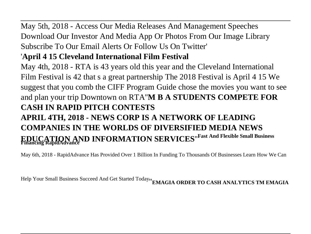May 5th, 2018 - Access Our Media Releases And Management Speeches Download Our Investor And Media App Or Photos From Our Image Library Subscribe To Our Email Alerts Or Follow Us On Twitter'

## '**April 4 15 Cleveland International Film Festival**

May 4th, 2018 - RTA is 43 years old this year and the Cleveland International Film Festival is 42 that s a great partnership The 2018 Festival is April 4 15 We suggest that you comb the CIFF Program Guide chose the movies you want to see and plan your trip Downtown on RTA''**M B A STUDENTS COMPETE FOR CASH IN RAPID PITCH CONTESTS**

## **APRIL 4TH, 2018 - NEWS CORP IS A NETWORK OF LEADING COMPANIES IN THE WORLDS OF DIVERSIFIED MEDIA NEWS EDUCATION AND INFORMATION SERVICES**''**Fast And Flexible Small Business Financing RapidAdvance**

May 6th, 2018 - RapidAdvance Has Provided Over 1 Billion In Funding To Thousands Of Businesses Learn How We Can

Help Your Small Business Succeed And Get Started Today''**EMAGIA ORDER TO CASH ANALYTICS TM EMAGIA**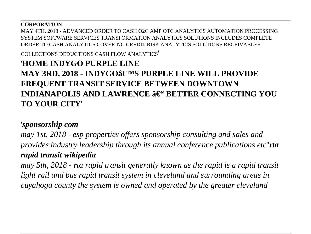#### **CORPORATION**

MAY 4TH, 2018 - ADVANCED ORDER TO CASH O2C AMP OTC ANALYTICS AUTOMATION PROCESSING SYSTEM SOFTWARE SERVICES TRANSFORMATION ANALYTICS SOLUTIONS INCLUDES COMPLETE ORDER TO CASH ANALYTICS COVERING CREDIT RISK ANALYTICS SOLUTIONS RECEIVABLES

COLLECTIONS DEDUCTIONS CASH ELOW ANALYTICS'

## '**HOME INDYGO PURPLE LINE MAY 3RD, 2018 - INDYGO'S PURPLE LINE WILL PROVIDE FREQUENT TRANSIT SERVICE BETWEEN DOWNTOWN INDIANAPOLIS AND LAWRENCE**  $\hat{\mathbf{a}} \in \text{``BETTER}}$  **CONNECTING YOU TO YOUR CITY**'

#### '*sponsorship com*

*may 1st, 2018 - esp properties offers sponsorship consulting and sales and provides industry leadership through its annual conference publications etc*''*rta rapid transit wikipedia*

*may 5th, 2018 - rta rapid transit generally known as the rapid is a rapid transit light rail and bus rapid transit system in cleveland and surrounding areas in cuyahoga county the system is owned and operated by the greater cleveland*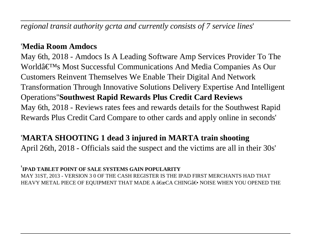*regional transit authority gcrta and currently consists of 7 service lines*'

#### '**Media Room Amdocs**

May 6th, 2018 - Amdocs Is A Leading Software Amp Services Provider To The World's Most Successful Communications And Media Companies As Our Customers Reinvent Themselves We Enable Their Digital And Network Transformation Through Innovative Solutions Delivery Expertise And Intelligent Operations''**Southwest Rapid Rewards Plus Credit Card Reviews** May 6th, 2018 - Reviews rates fees and rewards details for the Southwest Rapid Rewards Plus Credit Card Compare to other cards and apply online in seconds'

## '**MARTA SHOOTING 1 dead 3 injured in MARTA train shooting**

April 26th, 2018 - Officials said the suspect and the victims are all in their 30s'

#### '**IPAD TABLET POINT OF SALE SYSTEMS GAIN POPULARITY**

MAY 31ST, 2013 - VERSION 3 0 OF THE CASH REGISTER IS THE IPAD FIRST MERCHANTS HAD THAT HEAVY METAL PIECE OF EQUIPMENT THAT MADE A  $\hat{\mathbf{a}} \in \alpha$ CA CHING $\hat{\mathbf{a}} \in \cdot$  NOISE WHEN YOU OPENED THE